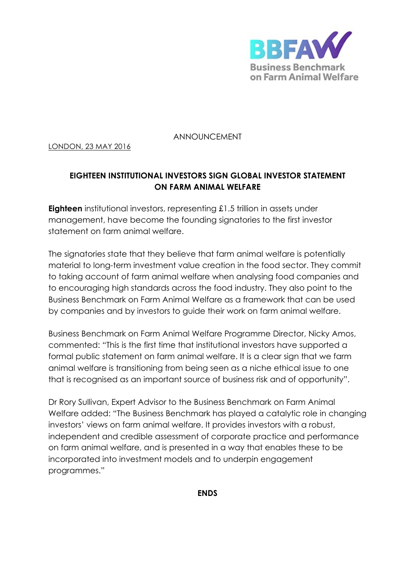

ANNOUNCEMENT

## LONDON, 23 MAY 2016

## **EIGHTEEN INSTITUTIONAL INVESTORS SIGN GLOBAL INVESTOR STATEMENT ON FARM ANIMAL WELFARE**

**Eighteen** institutional investors, representing £1.5 trillion in assets under management, have become the founding signatories to the first investor statement on farm animal welfare.

The signatories state that they believe that farm animal welfare is potentially material to long-term investment value creation in the food sector. They commit to taking account of farm animal welfare when analysing food companies and to encouraging high standards across the food industry. They also point to the Business Benchmark on Farm Animal Welfare as a framework that can be used by companies and by investors to guide their work on farm animal welfare.

Business Benchmark on Farm Animal Welfare Programme Director, Nicky Amos, commented: "This is the first time that institutional investors have supported a formal public statement on farm animal welfare. It is a clear sign that we farm animal welfare is transitioning from being seen as a niche ethical issue to one that is recognised as an important source of business risk and of opportunity".

Dr Rory Sullivan, Expert Advisor to the Business Benchmark on Farm Animal Welfare added: "The Business Benchmark has played a catalytic role in changing investors' views on farm animal welfare. It provides investors with a robust, independent and credible assessment of corporate practice and performance on farm animal welfare, and is presented in a way that enables these to be incorporated into investment models and to underpin engagement programmes."

**ENDS**